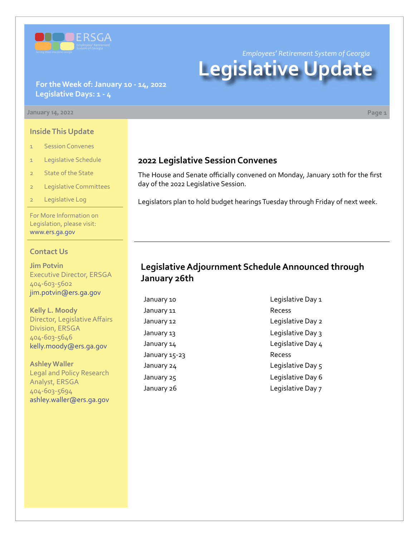

*Employees' Retirement System of Georgia*

# **Legislative Update**

**For the Week of: January 10 - 14, 2022 Legislative Days: 1 - 4**

#### **January 14, 2022 Page 1**

#### **Inside This Update**

- 1 Session Convenes
- 1 Legislative Schedule
- 2 State of the State
- 2 Legislative Committees
- Legislative Log

For More Information on Legislation, please visit: [www.ers.ga.gov](http://www.ers.ga.gov/default.aspx)

#### **Contact Us**

**Jim Potvin** Executive Director, ERSGA 404-603-5602 jim.potvin@ers.ga.gov

**Kelly L. Moody** Director, Legislative Affairs Division, ERSGA 404-603-5646 kelly.moody@ers.ga.gov

**Ashley Waller** Legal and Policy Research Analyst, ERSGA 404-603-5694 ashley.waller@ers.ga.gov

## **2022 Legislative Session Convenes**

The House and Senate officially convened on Monday, January 10th for the first day of the 2022 Legislative Session.

Legislators plan to hold budget hearings Tuesday through Friday of next week.

## **Legislative Adjournment Schedule Announced through January 26th**

January 11 **Recess** January 15-23 Recess

January 10 **Legislative Day 1** January 12 **Legislative Day 2** January 13 **January 13** Legislative Day 3 January 14 diagnosis of the Legislative Day 4 January 24 degree of the Legislative Day 5 January 25 **Legislative Day 6** January 26 **Legislative Day 7**